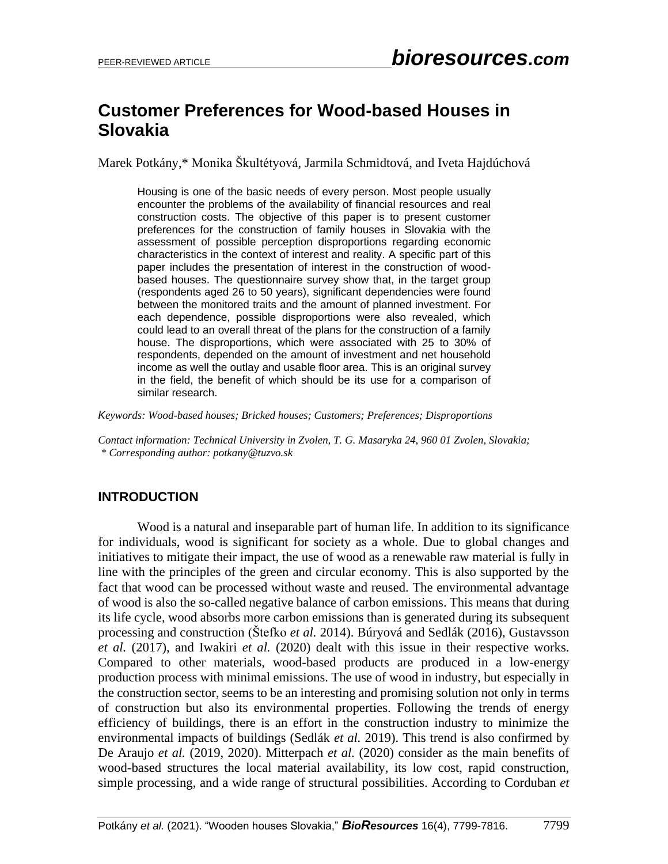# **Customer Preferences for Wood-based Houses in Slovakia**

Marek Potkány,\* Monika Škultétyová, Jarmila Schmidtová, and Iveta Hajdúchová

Housing is one of the basic needs of every person. Most people usually encounter the problems of the availability of financial resources and real construction costs. The objective of this paper is to present customer preferences for the construction of family houses in Slovakia with the assessment of possible perception disproportions regarding economic characteristics in the context of interest and reality. A specific part of this paper includes the presentation of interest in the construction of woodbased houses. The questionnaire survey show that, in the target group (respondents aged 26 to 50 years), significant dependencies were found between the monitored traits and the amount of planned investment. For each dependence, possible disproportions were also revealed, which could lead to an overall threat of the plans for the construction of a family house. The disproportions, which were associated with 25 to 30% of respondents, depended on the amount of investment and net household income as well the outlay and usable floor area. This is an original survey in the field, the benefit of which should be its use for a comparison of similar research.

*Keywords: Wood-based houses; Bricked houses; Customers; Preferences; Disproportions*

*Contact information: Technical University in Zvolen, T. G. Masaryka 24, 960 01 Zvolen, Slovakia; \* Corresponding author: potkany@tuzvo.sk*

# **INTRODUCTION**

Wood is a natural and inseparable part of human life. In addition to its significance for individuals, wood is significant for society as a whole. Due to global changes and initiatives to mitigate their impact, the use of wood as a renewable raw material is fully in line with the principles of the green and circular economy. This is also supported by the fact that wood can be processed without waste and reused. The environmental advantage of wood is also the so-called negative balance of carbon emissions. This means that during its life cycle, wood absorbs more carbon emissions than is generated during its subsequent processing and construction (Štefko *et al.* 2014). Búryová and Sedlák (2016), Gustavsson *et al.* (2017), and Iwakiri *et al.* (2020) dealt with this issue in their respective works. Compared to other materials, wood-based products are produced in a low-energy production process with minimal emissions. The use of wood in industry, but especially in the construction sector, seems to be an interesting and promising solution not only in terms of construction but also its environmental properties. Following the trends of energy efficiency of buildings, there is an effort in the construction industry to minimize the environmental impacts of buildings (Sedlák *et al.* 2019). This trend is also confirmed by De Araujo *et al.* (2019, 2020). Mitterpach *et al.* (2020) consider as the main benefits of wood-based structures the local material availability, its low cost, rapid construction, simple processing, and a wide range of structural possibilities. According to Corduban *et*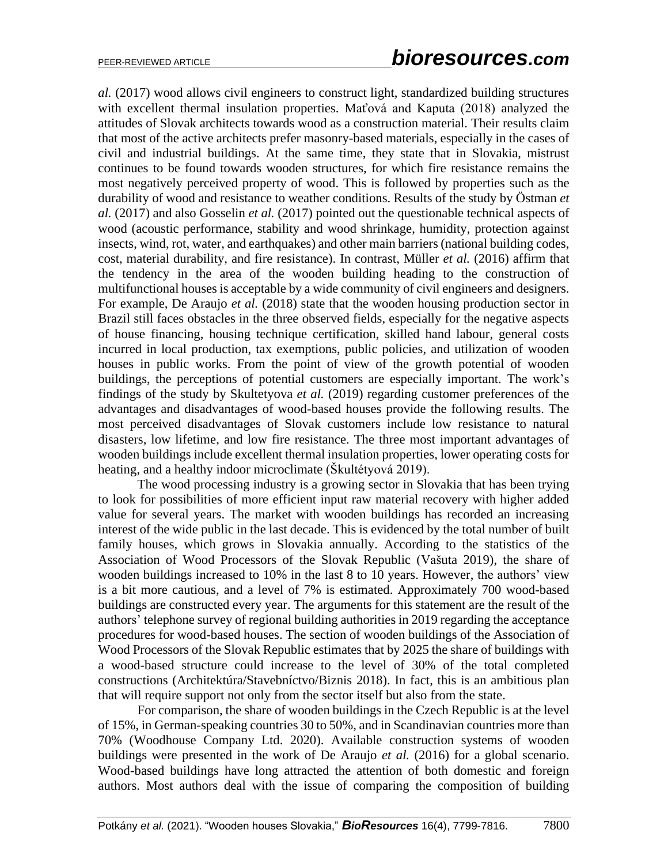*al.* (2017) wood allows civil engineers to construct light, standardized building structures with excellent thermal insulation properties. Maťová and Kaputa (2018) analyzed the attitudes of Slovak architects towards wood as a construction material. Their results claim that most of the active architects prefer masonry-based materials, especially in the cases of civil and industrial buildings. At the same time, they state that in Slovakia, mistrust continues to be found towards wooden structures, for which fire resistance remains the most negatively perceived property of wood. This is followed by properties such as the durability of wood and resistance to weather conditions. Results of the study by Östman *et al.* (2017) and also Gosselin *et al.* (2017) pointed out the questionable technical aspects of wood (acoustic performance, stability and wood shrinkage, humidity, protection against insects, wind, rot, water, and earthquakes) and other main barriers (national building codes, cost, material durability, and fire resistance). In contrast, Müller *et al.* (2016) affirm that the tendency in the area of the wooden building heading to the construction of multifunctional houses is acceptable by a wide community of civil engineers and designers. For example, De Araujo *et al.* (2018) state that the wooden housing production sector in Brazil still faces obstacles in the three observed fields, especially for the negative aspects of house financing, housing technique certification, skilled hand labour, general costs incurred in local production, tax exemptions, public policies, and utilization of wooden houses in public works. From the point of view of the growth potential of wooden buildings, the perceptions of potential customers are especially important. The work's findings of the study by Skultetyova *et al.* (2019) regarding customer preferences of the advantages and disadvantages of wood-based houses provide the following results. The most perceived disadvantages of Slovak customers include low resistance to natural disasters, low lifetime, and low fire resistance. The three most important advantages of wooden buildings include excellent thermal insulation properties, lower operating costs for heating, and a healthy indoor microclimate (Škultétyová 2019).

The wood processing industry is a growing sector in Slovakia that has been trying to look for possibilities of more efficient input raw material recovery with higher added value for several years. The market with wooden buildings has recorded an increasing interest of the wide public in the last decade. This is evidenced by the total number of built family houses, which grows in Slovakia annually. According to the statistics of the Association of Wood Processors of the Slovak Republic (Vašuta 2019), the share of wooden buildings increased to 10% in the last 8 to 10 years. However, the authors' view is a bit more cautious, and a level of 7% is estimated. Approximately 700 wood-based buildings are constructed every year. The arguments for this statement are the result of the authors' telephone survey of regional building authorities in 2019 regarding the acceptance procedures for wood-based houses. The section of wooden buildings of the Association of Wood Processors of the Slovak Republic estimates that by 2025 the share of buildings with a wood-based structure could increase to the level of 30% of the total completed constructions (Architektúra/Stavebníctvo/Biznis 2018). In fact, this is an ambitious plan that will require support not only from the sector itself but also from the state.

For comparison, the share of wooden buildings in the Czech Republic is at the level of 15%, in German-speaking countries 30 to 50%, and in Scandinavian countries more than 70% (Woodhouse Company Ltd. 2020). Available construction systems of wooden buildings were presented in the work of De Araujo *et al.* (2016) for a global scenario. Wood-based buildings have long attracted the attention of both domestic and foreign authors. Most authors deal with the issue of comparing the composition of building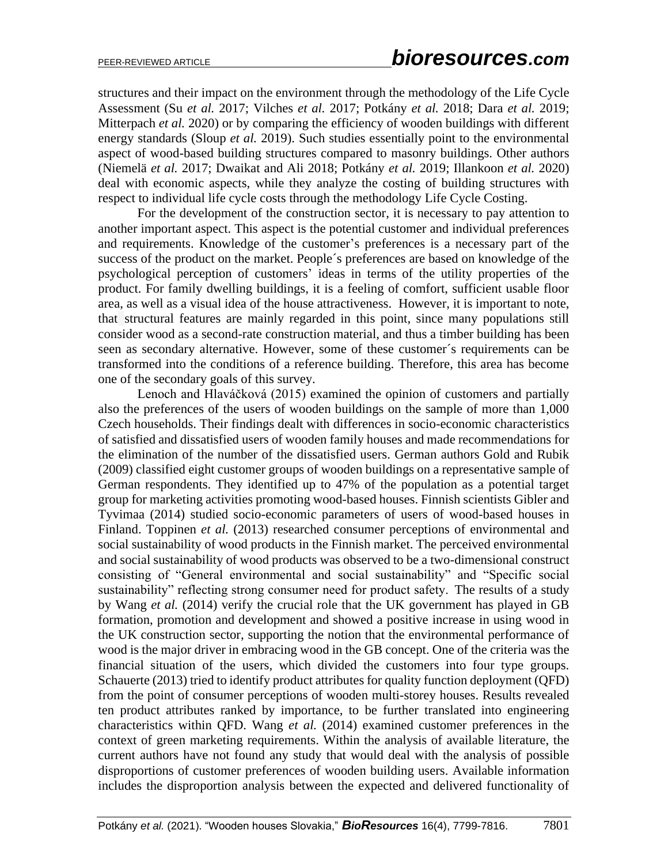structures and their impact on the environment through the methodology of the Life Cycle Assessment (Su *et al.* 2017; Vilches *et al.* 2017; Potkány *et al.* 2018; Dara *et al.* 2019; Mitterpach *et al.* 2020) or by comparing the efficiency of wooden buildings with different energy standards (Sloup *et al.* 2019). Such studies essentially point to the environmental aspect of wood-based building structures compared to masonry buildings. Other authors (Niemelä *et al.* 2017; Dwaikat and Ali 2018; Potkány *et al.* 2019; Illankoon *et al.* 2020) deal with economic aspects, while they analyze the costing of building structures with respect to individual life cycle costs through the methodology Life Cycle Costing.

For the development of the construction sector, it is necessary to pay attention to another important aspect. This aspect is the potential customer and individual preferences and requirements. Knowledge of the customer's preferences is a necessary part of the success of the product on the market. People´s preferences are based on knowledge of the psychological perception of customers' ideas in terms of the utility properties of the product. For family dwelling buildings, it is a feeling of comfort, sufficient usable floor area, as well as a visual idea of the house attractiveness. However, it is important to note, that structural features are mainly regarded in this point, since many populations still consider wood as a second-rate construction material, and thus a timber building has been seen as secondary alternative. However, some of these customer´s requirements can be transformed into the conditions of a reference building. Therefore, this area has become one of the secondary goals of this survey.

Lenoch and Hlaváčková (2015) examined the opinion of customers and partially also the preferences of the users of wooden buildings on the sample of more than 1,000 Czech households. Their findings dealt with differences in socio-economic characteristics of satisfied and dissatisfied users of wooden family houses and made recommendations for the elimination of the number of the dissatisfied users. German authors Gold and Rubik (2009) classified eight customer groups of wooden buildings on a representative sample of German respondents. They identified up to 47% of the population as a potential target group for marketing activities promoting wood-based houses. Finnish scientists Gibler and Tyvimaa (2014) studied socio-economic parameters of users of wood-based houses in Finland. Toppinen *et al.* (2013) researched consumer perceptions of environmental and social sustainability of wood products in the Finnish market. The perceived environmental and social sustainability of wood products was observed to be a two-dimensional construct consisting of "General environmental and social sustainability" and "Specific social sustainability" reflecting strong consumer need for product safety. The results of a study by Wang *et al.* (2014) verify the crucial role that the UK government has played in GB formation, promotion and development and showed a positive increase in using wood in the UK construction sector, supporting the notion that the environmental performance of wood is the major driver in embracing wood in the GB concept. One of the criteria was the financial situation of the users, which divided the customers into four type groups. Schauerte (2013) tried to identify product attributes for quality function deployment (QFD) from the point of consumer perceptions of wooden multi-storey houses. Results revealed ten product attributes ranked by importance, to be further translated into engineering characteristics within QFD. Wang *et al.* (2014) examined customer preferences in the context of green marketing requirements. Within the analysis of available literature, the current authors have not found any study that would deal with the analysis of possible disproportions of customer preferences of wooden building users. Available information includes the disproportion analysis between the expected and delivered functionality of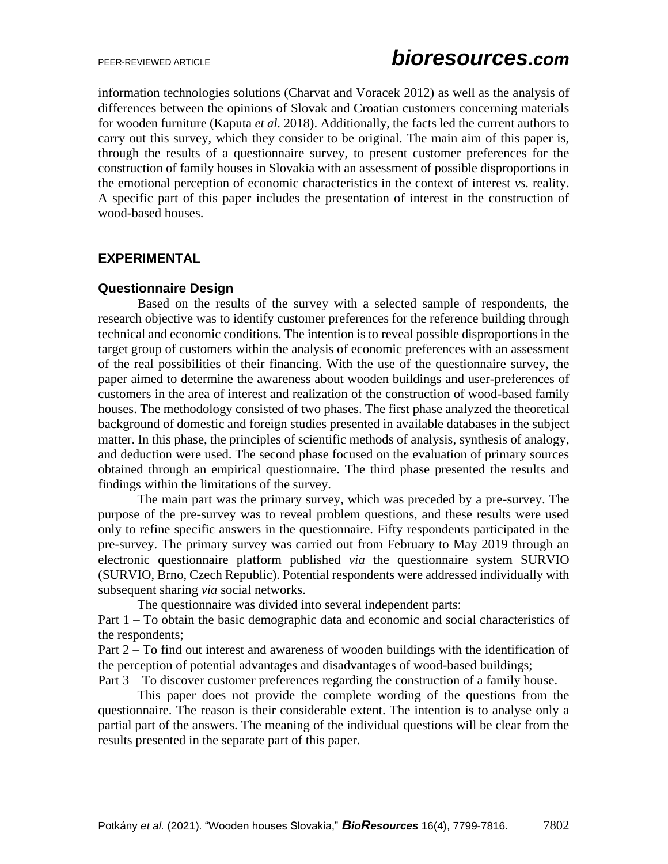information technologies solutions (Charvat and Voracek 2012) as well as the analysis of differences between the opinions of Slovak and Croatian customers concerning materials for wooden furniture (Kaputa *et al.* 2018). Additionally, the facts led the current authors to carry out this survey, which they consider to be original. The main aim of this paper is, through the results of a questionnaire survey, to present customer preferences for the construction of family houses in Slovakia with an assessment of possible disproportions in the emotional perception of economic characteristics in the context of interest *vs.* reality. A specific part of this paper includes the presentation of interest in the construction of wood-based houses.

# **EXPERIMENTAL**

# **Questionnaire Design**

Based on the results of the survey with a selected sample of respondents, the research objective was to identify customer preferences for the reference building through technical and economic conditions. The intention is to reveal possible disproportions in the target group of customers within the analysis of economic preferences with an assessment of the real possibilities of their financing. With the use of the questionnaire survey, the paper aimed to determine the awareness about wooden buildings and user-preferences of customers in the area of interest and realization of the construction of wood-based family houses. The methodology consisted of two phases. The first phase analyzed the theoretical background of domestic and foreign studies presented in available databases in the subject matter. In this phase, the principles of scientific methods of analysis, synthesis of analogy, and deduction were used. The second phase focused on the evaluation of primary sources obtained through an empirical questionnaire. The third phase presented the results and findings within the limitations of the survey.

The main part was the primary survey, which was preceded by a pre-survey. The purpose of the pre-survey was to reveal problem questions, and these results were used only to refine specific answers in the questionnaire. Fifty respondents participated in the pre-survey. The primary survey was carried out from February to May 2019 through an electronic questionnaire platform published *via* the questionnaire system SURVIO (SURVIO, Brno, Czech Republic). Potential respondents were addressed individually with subsequent sharing *via* social networks.

The questionnaire was divided into several independent parts:

Part 1 – To obtain the basic demographic data and economic and social characteristics of the respondents;

Part 2 – To find out interest and awareness of wooden buildings with the identification of the perception of potential advantages and disadvantages of wood-based buildings;

Part 3 – To discover customer preferences regarding the construction of a family house.

This paper does not provide the complete wording of the questions from the questionnaire. The reason is their considerable extent. The intention is to analyse only a partial part of the answers. The meaning of the individual questions will be clear from the results presented in the separate part of this paper.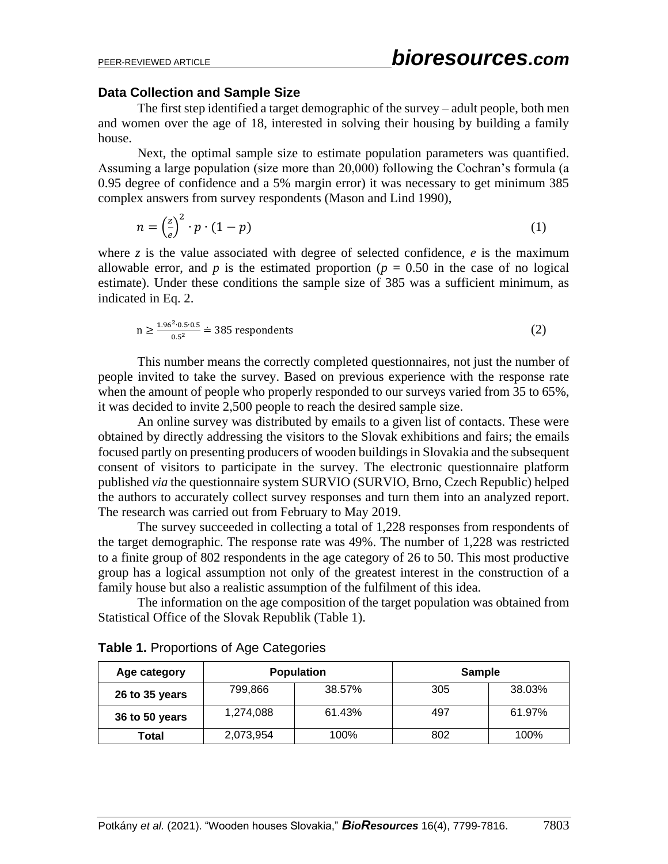#### **Data Collection and Sample Size**

The first step identified a target demographic of the survey – adult people, both men and women over the age of 18, interested in solving their housing by building a family house.

Next, the optimal sample size to estimate population parameters was quantified. Assuming a large population (size more than 20,000) following the Cochran's formula (a 0.95 degree of confidence and a 5% margin error) it was necessary to get minimum 385 complex answers from survey respondents (Mason and Lind 1990),

$$
n = \left(\frac{z}{e}\right)^2 \cdot p \cdot (1 - p) \tag{1}
$$

where  $\zeta$  is the value associated with degree of selected confidence,  $e$  is the maximum allowable error, and  $p$  is the estimated proportion ( $p = 0.50$  in the case of no logical estimate). Under these conditions the sample size of 385 was a sufficient minimum, as indicated in Eq. 2.

$$
n \ge \frac{1.96^2 \cdot 0.5 \cdot 0.5}{0.5^2} \doteq 385
$$
respondents (2)

This number means the correctly completed questionnaires, not just the number of people invited to take the survey. Based on previous experience with the response rate when the amount of people who properly responded to our surveys varied from 35 to 65%, it was decided to invite 2,500 people to reach the desired sample size.

An online survey was distributed by emails to a given list of contacts. These were obtained by directly addressing the visitors to the Slovak exhibitions and fairs; the emails focused partly on presenting producers of wooden buildings in Slovakia and the subsequent consent of visitors to participate in the survey. The electronic questionnaire platform published *via* the questionnaire system SURVIO (SURVIO, Brno, Czech Republic) helped the authors to accurately collect survey responses and turn them into an analyzed report. The research was carried out from February to May 2019.

The survey succeeded in collecting a total of 1,228 responses from respondents of the target demographic. The response rate was 49%. The number of 1,228 was restricted to a finite group of 802 respondents in the age category of 26 to 50. This most productive group has a logical assumption not only of the greatest interest in the construction of a family house but also a realistic assumption of the fulfilment of this idea.

The information on the age composition of the target population was obtained from Statistical Office of the Slovak Republik (Table 1).

| Age category   | <b>Population</b> |        | <b>Sample</b> |        |
|----------------|-------------------|--------|---------------|--------|
| 26 to 35 years | 799,866           | 38.57% | 305           | 38.03% |
| 36 to 50 years | 1,274,088         | 61.43% | 497           | 61.97% |
| Total          | 2,073,954         | 100%   | 802           | 100%   |

|  |  | <b>Table 1. Proportions of Age Categories</b> |  |  |
|--|--|-----------------------------------------------|--|--|
|--|--|-----------------------------------------------|--|--|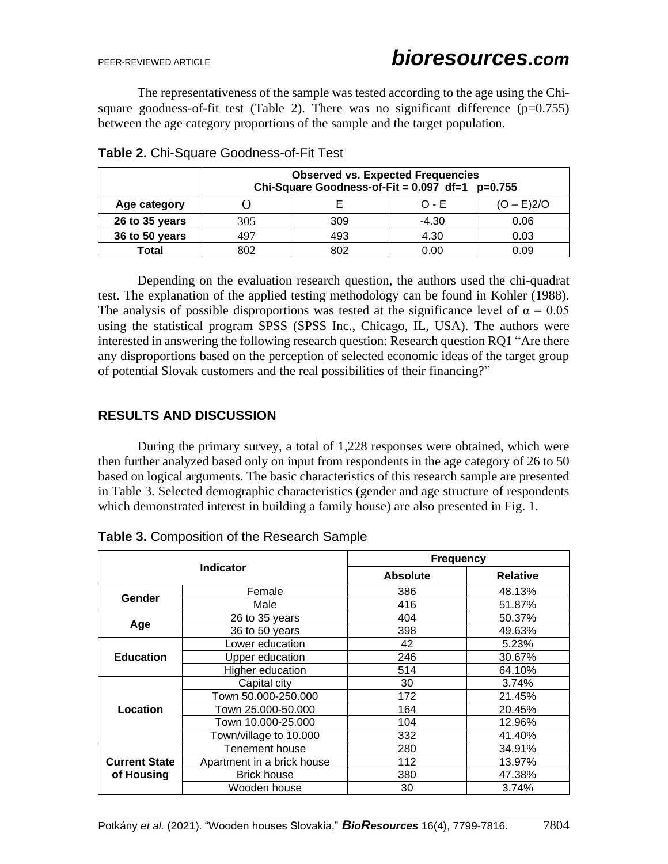The representativeness of the sample was tested according to the age using the Chisquare goodness-of-fit test (Table 2). There was no significant difference  $(p=0.755)$ between the age category proportions of the sample and the target population.

|                | <b>Observed vs. Expected Frequencies</b><br>Chi-Square Goodness-of-Fit = $0.097$ df=1 p=0.755 |     |         |              |  |  |
|----------------|-----------------------------------------------------------------------------------------------|-----|---------|--------------|--|--|
| Age category   |                                                                                               |     | $O - F$ | $(O - E)2/O$ |  |  |
| 26 to 35 years | 305                                                                                           | 309 | $-4.30$ | 0.06         |  |  |
| 36 to 50 years | 497                                                                                           | 493 | 4.30    | 0.03         |  |  |
| Total          | 802                                                                                           | 802 | ი იი    | 0.09         |  |  |

**Table 2.** Chi-Square Goodness-of-Fit Test

Depending on the evaluation research question, the authors used the chi-quadrat test. The explanation of the applied testing methodology can be found in Kohler (1988). The analysis of possible disproportions was tested at the significance level of  $\alpha = 0.05$ using the statistical program SPSS (SPSS Inc., Chicago, IL, USA). The authors were interested in answering the following research question: Research question RQ1 "Are there any disproportions based on the perception of selected economic ideas of the target group of potential Slovak customers and the real possibilities of their financing?"

# **RESULTS AND DISCUSSION**

During the primary survey, a total of 1,228 responses were obtained, which were then further analyzed based only on input from respondents in the age category of 26 to 50 based on logical arguments. The basic characteristics of this research sample are presented in Table 3. Selected demographic characteristics (gender and age structure of respondents which demonstrated interest in building a family house) are also presented in Fig. 1.

| <b>Indicator</b>                                   |                        | <b>Frequency</b> |                 |  |
|----------------------------------------------------|------------------------|------------------|-----------------|--|
|                                                    |                        | Absolute         | <b>Relative</b> |  |
| Gender                                             | Female                 | 386              | 48.13%          |  |
|                                                    | Male                   | 416              | 51.87%          |  |
| Age                                                | 26 to 35 years         | 404              | 50.37%          |  |
|                                                    | 36 to 50 years         | 398              | 49.63%          |  |
|                                                    | Lower education        | 42               | 5.23%           |  |
| <b>Education</b>                                   | Upper education        | 246              | 30.67%          |  |
|                                                    | Higher education       | 514              | 64.10%          |  |
|                                                    | Capital city           | 30               | 3.74%           |  |
|                                                    | Town 50.000-250.000    | 172              | 21.45%          |  |
| Location                                           | Town 25.000-50.000     | 164              | 20.45%          |  |
|                                                    | Town 10.000-25.000     | 104              | 12.96%          |  |
|                                                    | Town/village to 10.000 | 332              | 41.40%          |  |
|                                                    | <b>Tenement house</b>  | 280              | 34.91%          |  |
| <b>Current State</b><br>Apartment in a brick house |                        | 112              | 13.97%          |  |
| of Housing                                         | <b>Brick house</b>     | 380              | 47.38%          |  |
|                                                    | Wooden house           | 30               | 3.74%           |  |

**Table 3.** Composition of the Research Sample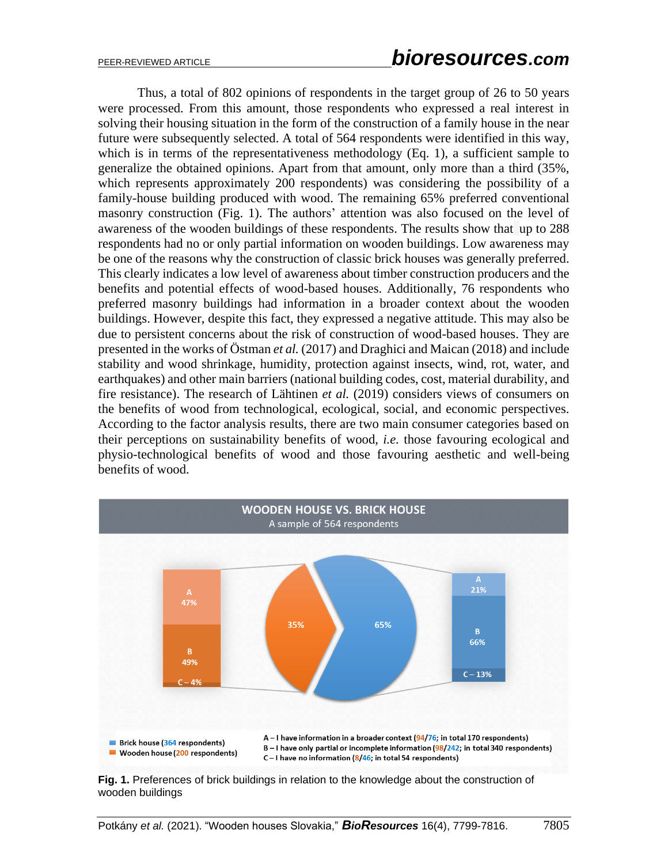Thus, a total of 802 opinions of respondents in the target group of 26 to 50 years were processed. From this amount, those respondents who expressed a real interest in solving their housing situation in the form of the construction of a family house in the near future were subsequently selected. A total of 564 respondents were identified in this way, which is in terms of the representativeness methodology (Eq. 1), a sufficient sample to generalize the obtained opinions. Apart from that amount, only more than a third (35%, which represents approximately 200 respondents) was considering the possibility of a family-house building produced with wood. The remaining 65% preferred conventional masonry construction (Fig. 1). The authors' attention was also focused on the level of awareness of the wooden buildings of these respondents. The results show that up to 288 respondents had no or only partial information on wooden buildings. Low awareness may be one of the reasons why the construction of classic brick houses was generally preferred. This clearly indicates a low level of awareness about timber construction producers and the benefits and potential effects of wood-based houses. Additionally, 76 respondents who preferred masonry buildings had information in a broader context about the wooden buildings. However, despite this fact, they expressed a negative attitude. This may also be due to persistent concerns about the risk of construction of wood-based houses. They are presented in the works of Östman *et al.* (2017) and Draghici and Maican (2018) and include stability and wood shrinkage, humidity, protection against insects, wind, rot, water, and earthquakes) and other main barriers (national building codes, cost, material durability, and fire resistance). The research of Lähtinen *et al.* (2019) considers views of consumers on the benefits of wood from technological, ecological, social, and economic perspectives. According to the factor analysis results, there are two main consumer categories based on their perceptions on sustainability benefits of wood, *i.e.* those favouring ecological and physio-technological benefits of wood and those favouring aesthetic and well-being benefits of wood.



**Fig. 1.** Preferences of brick buildings in relation to the knowledge about the construction of wooden buildings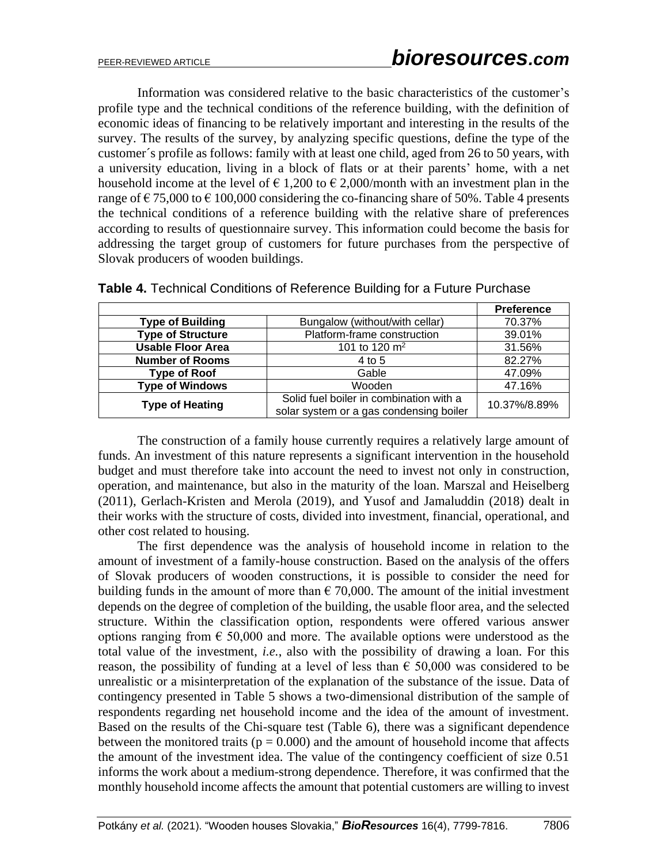Information was considered relative to the basic characteristics of the customer's profile type and the technical conditions of the reference building, with the definition of economic ideas of financing to be relatively important and interesting in the results of the survey. The results of the survey, by analyzing specific questions, define the type of the customer´s profile as follows: family with at least one child, aged from 26 to 50 years, with a university education, living in a block of flats or at their parents' home, with a net household income at the level of  $\epsilon$  1,200 to  $\epsilon$  2,000/month with an investment plan in the range of  $\epsilon$  75,000 to  $\epsilon$  100,000 considering the co-financing share of 50%. Table 4 presents the technical conditions of a reference building with the relative share of preferences according to results of questionnaire survey. This information could become the basis for addressing the target group of customers for future purchases from the perspective of Slovak producers of wooden buildings.

|                          |                                         | <b>Preference</b> |
|--------------------------|-----------------------------------------|-------------------|
| <b>Type of Building</b>  | Bungalow (without/with cellar)          | 70.37%            |
| <b>Type of Structure</b> | Platform-frame construction             | 39.01%            |
| <b>Usable Floor Area</b> | 101 to 120 $\rm m^2$                    | 31.56%            |
| <b>Number of Rooms</b>   | 4 to 5                                  | 82.27%            |
| <b>Type of Roof</b>      | Gable                                   | 47.09%            |
| <b>Type of Windows</b>   | Wooden                                  | 47.16%            |
| <b>Type of Heating</b>   | Solid fuel boiler in combination with a | 10.37%/8.89%      |
|                          | solar system or a gas condensing boiler |                   |

| Table 4. Technical Conditions of Reference Building for a Future Purchase |  |  |  |  |  |
|---------------------------------------------------------------------------|--|--|--|--|--|
|---------------------------------------------------------------------------|--|--|--|--|--|

The construction of a family house currently requires a relatively large amount of funds. An investment of this nature represents a significant intervention in the household budget and must therefore take into account the need to invest not only in construction, operation, and maintenance, but also in the maturity of the loan. Marszal and Heiselberg (2011), Gerlach-Kristen and Merola (2019), and Yusof and Jamaluddin (2018) dealt in their works with the structure of costs, divided into investment, financial, operational, and other cost related to housing.

The first dependence was the analysis of household income in relation to the amount of investment of a family-house construction. Based on the analysis of the offers of Slovak producers of wooden constructions, it is possible to consider the need for building funds in the amount of more than  $\epsilon$  70,000. The amount of the initial investment depends on the degree of completion of the building, the usable floor area, and the selected structure. Within the classification option, respondents were offered various answer options ranging from  $\epsilon$  50,000 and more. The available options were understood as the total value of the investment, *i.e.*, also with the possibility of drawing a loan. For this reason, the possibility of funding at a level of less than  $\epsilon$  50,000 was considered to be unrealistic or a misinterpretation of the explanation of the substance of the issue. Data of contingency presented in Table 5 shows a two-dimensional distribution of the sample of respondents regarding net household income and the idea of the amount of investment. Based on the results of the Chi-square test (Table 6), there was a significant dependence between the monitored traits ( $p = 0.000$ ) and the amount of household income that affects the amount of the investment idea. The value of the contingency coefficient of size 0.51 informs the work about a medium-strong dependence. Therefore, it was confirmed that the monthly household income affects the amount that potential customers are willing to invest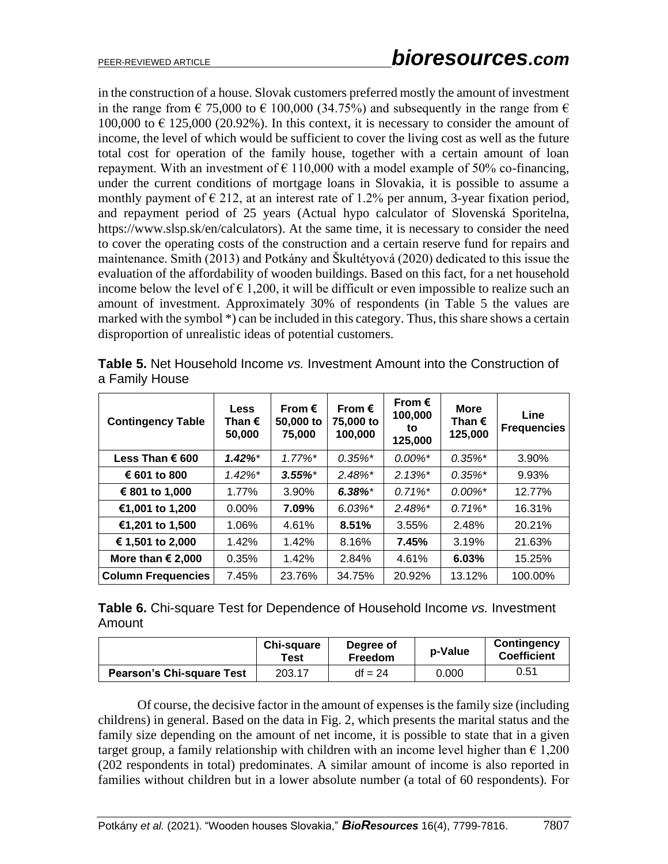in the construction of a house. Slovak customers preferred mostly the amount of investment in the range from  $\epsilon$  75,000 to  $\epsilon$  100,000 (34.75%) and subsequently in the range from  $\epsilon$ 100,000 to  $\epsilon$  125,000 (20.92%). In this context, it is necessary to consider the amount of income, the level of which would be sufficient to cover the living cost as well as the future total cost for operation of the family house, together with a certain amount of loan repayment. With an investment of  $\epsilon$  110,000 with a model example of 50% co-financing, under the current conditions of mortgage loans in Slovakia, it is possible to assume a monthly payment of  $\epsilon$  212, at an interest rate of 1.2% per annum, 3-year fixation period, and repayment period of 25 years (Actual hypo calculator of Slovenská Sporitelna, https://www.slsp.sk/en/calculators). At the same time, it is necessary to consider the need to cover the operating costs of the construction and a certain reserve fund for repairs and maintenance. Smith (2013) and Potkány and Škultétyová (2020) dedicated to this issue the evaluation of the affordability of wooden buildings. Based on this fact, for a net household income below the level of  $\epsilon$  1,200, it will be difficult or even impossible to realize such an amount of investment. Approximately 30% of respondents (in Table 5 the values are marked with the symbol \*) can be included in this category. Thus, this share shows a certain disproportion of unrealistic ideas of potential customers.

| <b>Contingency Table</b>   | <b>Less</b><br>Than €<br>50,000 | From $\epsilon$<br>50,000 to<br>75,000 | From $\epsilon$<br>75,000 to<br>100,000 | From $\epsilon$<br>100,000<br>to<br>125,000 | <b>More</b><br>Than €<br>125,000 | Line<br><b>Frequencies</b> |
|----------------------------|---------------------------------|----------------------------------------|-----------------------------------------|---------------------------------------------|----------------------------------|----------------------------|
| Less Than € 600            | $1.42\%$ <sup>*</sup>           | $1.77\%$ <sup>*</sup>                  | $0.35\%$ *                              | $0.00\%$ <sup>*</sup>                       | $0.35\%$ *                       | 3.90%                      |
| € 601 to 800               | $1.42\%$ <sup>*</sup>           | $3.55\%$ *                             | $2.48\%$ <sup>*</sup>                   | $2.13\%$ *                                  | $0.35\%$ *                       | 9.93%                      |
| € 801 to 1,000             | 1.77%                           | 3.90%                                  | $6.38\%$ *                              | $0.71\%$ <sup>*</sup>                       | $0.00\%$ <sup>*</sup>            | 12.77%                     |
| €1,001 to 1,200            | $0.00\%$                        | 7.09%                                  | $6.03\%$ *                              | $2.48\%$ <sup>*</sup>                       | $0.71\%$ <sup>*</sup>            | 16.31%                     |
| €1,201 to 1,500            | 1.06%                           | 4.61%                                  | 8.51%                                   | 3.55%                                       | 2.48%                            | 20.21%                     |
| € 1,501 to 2,000           | 1.42%                           | 1.42%                                  | 8.16%                                   | 7.45%                                       | 3.19%                            | 21.63%                     |
| More than $\epsilon$ 2,000 | 0.35%                           | 1.42%                                  | 2.84%                                   | 4.61%                                       | 6.03%                            | 15.25%                     |
| <b>Column Frequencies</b>  | 7.45%                           | 23.76%                                 | 34.75%                                  | 20.92%                                      | 13.12%                           | 100.00%                    |

**Table 5.** Net Household Income *vs.* Investment Amount into the Construction of a Family House

**Table 6.** Chi-square Test for Dependence of Household Income *vs.* Investment Amount

|                                  | <b>Chi-square</b><br>Test | Degree of<br><b>Freedom</b> | p-Value | Contingency<br><b>Coefficient</b> |
|----------------------------------|---------------------------|-----------------------------|---------|-----------------------------------|
| <b>Pearson's Chi-square Test</b> | 203.17                    | $df = 24$                   | 0.000   | 0.51                              |

Of course, the decisive factor in the amount of expenses is the family size (including childrens) in general. Based on the data in Fig. 2, which presents the marital status and the family size depending on the amount of net income, it is possible to state that in a given target group, a family relationship with children with an income level higher than  $\epsilon$  1,200 (202 respondents in total) predominates. A similar amount of income is also reported in families without children but in a lower absolute number (a total of 60 respondents). For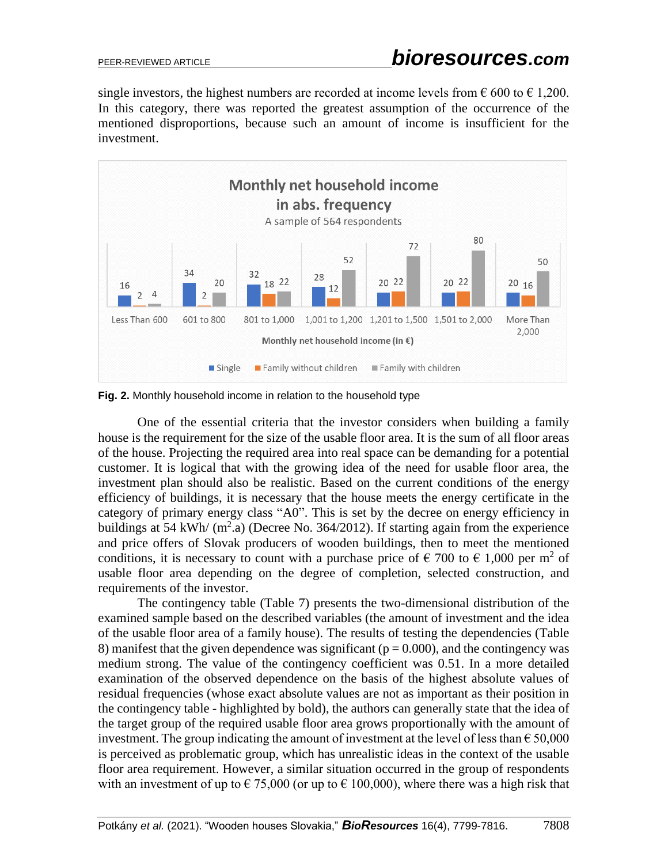single investors, the highest numbers are recorded at income levels from  $\epsilon$  600 to  $\epsilon$  1,200. In this category, there was reported the greatest assumption of the occurrence of the mentioned disproportions, because such an amount of income is insufficient for the investment.



**Fig. 2.** Monthly household income in relation to the household type

One of the essential criteria that the investor considers when building a family house is the requirement for the size of the usable floor area. It is the sum of all floor areas of the house. Projecting the required area into real space can be demanding for a potential customer. It is logical that with the growing idea of the need for usable floor area, the investment plan should also be realistic. Based on the current conditions of the energy efficiency of buildings, it is necessary that the house meets the energy certificate in the category of primary energy class "A0". This is set by the decree on energy efficiency in buildings at 54 kWh/  $(m^2.a)$  (Decree No. 364/2012). If starting again from the experience and price offers of Slovak producers of wooden buildings, then to meet the mentioned conditions, it is necessary to count with a purchase price of  $\epsilon$  700 to  $\epsilon$  1,000 per m<sup>2</sup> of usable floor area depending on the degree of completion, selected construction, and requirements of the investor.

The contingency table (Table 7) presents the two-dimensional distribution of the examined sample based on the described variables (the amount of investment and the idea of the usable floor area of a family house). The results of testing the dependencies (Table 8) manifest that the given dependence was significant ( $p = 0.000$ ), and the contingency was medium strong. The value of the contingency coefficient was 0.51. In a more detailed examination of the observed dependence on the basis of the highest absolute values of residual frequencies (whose exact absolute values are not as important as their position in the contingency table - highlighted by bold), the authors can generally state that the idea of the target group of the required usable floor area grows proportionally with the amount of investment. The group indicating the amount of investment at the level of less than  $\epsilon$  50,000 is perceived as problematic group, which has unrealistic ideas in the context of the usable floor area requirement. However, a similar situation occurred in the group of respondents with an investment of up to  $\epsilon$  75,000 (or up to  $\epsilon$  100,000), where there was a high risk that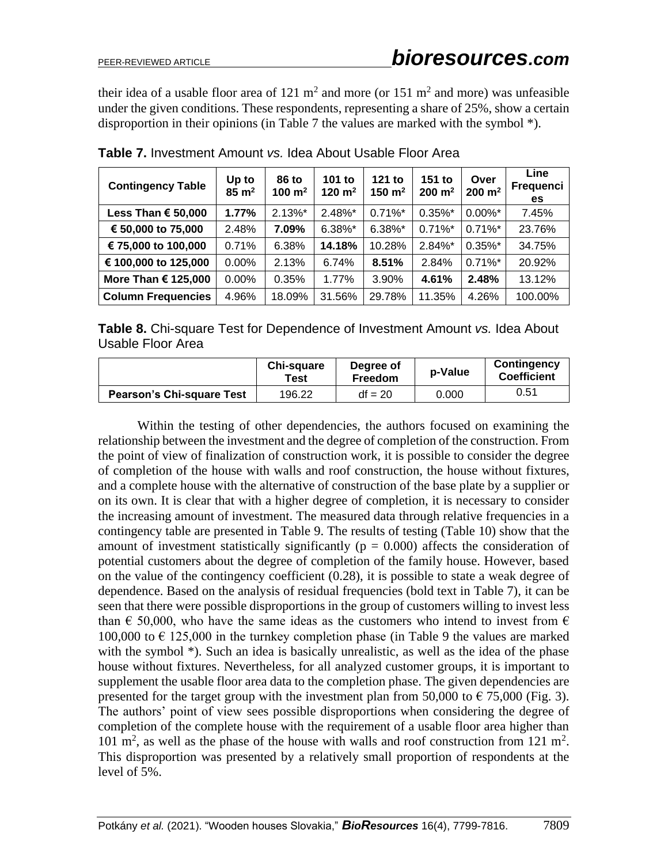their idea of a usable floor area of 121  $m^2$  and more (or 151  $m^2$  and more) was unfeasible under the given conditions. These respondents, representing a share of 25%, show a certain disproportion in their opinions (in Table 7 the values are marked with the symbol \*).

| <b>Contingency Table</b>  | Up to<br>$85 \text{ m}^2$ | 86 to<br>100 $m2$ | 101 to<br>120 $m2$ | 121 to<br>150 $m2$ | 151 to<br>$200 \; \text{m}^2$ | Over<br>$200 \; \text{m}^2$ | Line<br>Frequenci<br>es. |
|---------------------------|---------------------------|-------------------|--------------------|--------------------|-------------------------------|-----------------------------|--------------------------|
| Less Than € 50,000        | 1.77%                     | $2.13\%$ *        | $2.48\%$ *         | $0.71\%$ *         | $0.35\%$ *                    | $0.00\%$ *                  | 7.45%                    |
| € 50,000 to 75,000        | 2.48%                     | 7.09%             | 6.38%*             | 6.38%*             | $0.71\%$ *                    | $0.71\%$ *                  | 23.76%                   |
| € 75,000 to 100,000       | 0.71%                     | 6.38%             | 14.18%             | 10.28%             | 2.84%*                        | $0.35\%$ *                  | 34.75%                   |
| € 100,000 to 125,000      | $0.00\%$                  | 2.13%             | 6.74%              | 8.51%              | 2.84%                         | $0.71\%$ *                  | 20.92%                   |
| More Than € 125,000       | $0.00\%$                  | 0.35%             | 1.77%              | 3.90%              | 4.61%                         | 2.48%                       | 13.12%                   |
| <b>Column Frequencies</b> | 4.96%                     | 18.09%            | 31.56%             | 29.78%             | 11.35%                        | 4.26%                       | 100.00%                  |

**Table 7.** Investment Amount *vs.* Idea About Usable Floor Area

**Table 8.** Chi-square Test for Dependence of Investment Amount *vs.* Idea About Usable Floor Area

|                                  | Chi-square<br>Test | Degree of<br>Freedom | p-Value | Contingency<br><b>Coefficient</b> |
|----------------------------------|--------------------|----------------------|---------|-----------------------------------|
| <b>Pearson's Chi-square Test</b> | 196.22             | $df = 20$            | 0.000   | 0.51                              |

Within the testing of other dependencies, the authors focused on examining the relationship between the investment and the degree of completion of the construction. From the point of view of finalization of construction work, it is possible to consider the degree of completion of the house with walls and roof construction, the house without fixtures, and a complete house with the alternative of construction of the base plate by a supplier or on its own. It is clear that with a higher degree of completion, it is necessary to consider the increasing amount of investment. The measured data through relative frequencies in a contingency table are presented in Table 9. The results of testing (Table 10) show that the amount of investment statistically significantly ( $p = 0.000$ ) affects the consideration of potential customers about the degree of completion of the family house. However, based on the value of the contingency coefficient (0.28), it is possible to state a weak degree of dependence. Based on the analysis of residual frequencies (bold text in Table 7), it can be seen that there were possible disproportions in the group of customers willing to invest less than  $\epsilon$  50,000, who have the same ideas as the customers who intend to invest from  $\epsilon$ 100,000 to  $\epsilon$  125,000 in the turnkey completion phase (in Table 9 the values are marked with the symbol \*). Such an idea is basically unrealistic, as well as the idea of the phase house without fixtures. Nevertheless, for all analyzed customer groups, it is important to supplement the usable floor area data to the completion phase. The given dependencies are presented for the target group with the investment plan from 50,000 to  $\epsilon$  75,000 (Fig. 3). The authors' point of view sees possible disproportions when considering the degree of completion of the complete house with the requirement of a usable floor area higher than 101 m<sup>2</sup>, as well as the phase of the house with walls and roof construction from 121 m<sup>2</sup>. This disproportion was presented by a relatively small proportion of respondents at the level of 5%.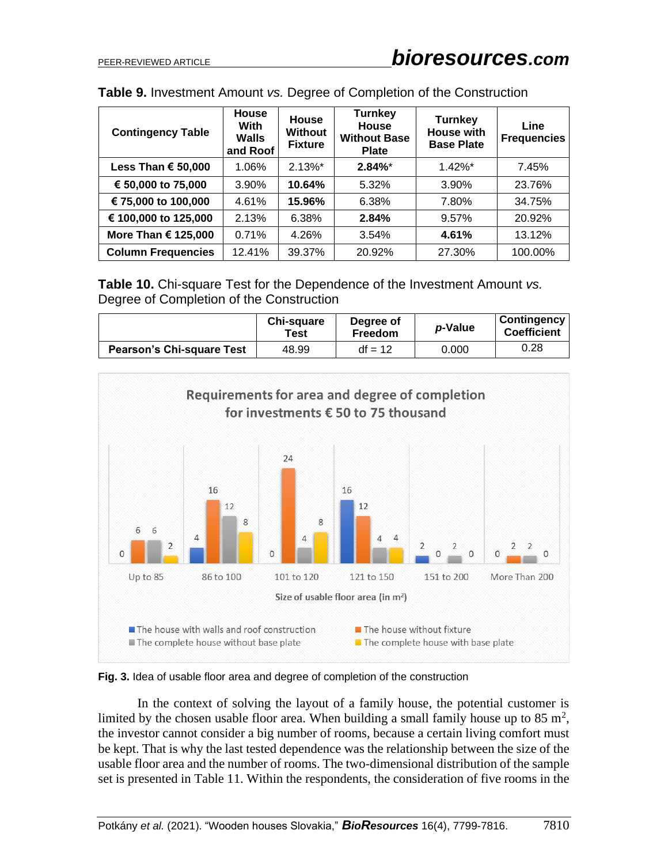| <b>Contingency Table</b>     | <b>House</b><br><b>With</b><br><b>Walls</b><br>and Roof | <b>House</b><br>Without<br><b>Fixture</b> | <b>Turnkey</b><br><b>House</b><br><b>Without Base</b><br><b>Plate</b> | <b>Turnkey</b><br><b>House with</b><br><b>Base Plate</b> | Line<br><b>Frequencies</b> |
|------------------------------|---------------------------------------------------------|-------------------------------------------|-----------------------------------------------------------------------|----------------------------------------------------------|----------------------------|
| Less Than € 50,000           | 1.06%                                                   | $2.13\%$ *                                | $2.84\%$ *                                                            | $1.42\%$ *                                               | 7.45%                      |
| € 50,000 to 75,000           | 3.90%                                                   | 10.64%                                    | 5.32%                                                                 | 3.90%                                                    | 23.76%                     |
| € 75,000 to 100,000          | 4.61%                                                   | 15.96%                                    | 6.38%                                                                 | 7.80%                                                    | 34.75%                     |
| € 100,000 to 125,000         | 2.13%                                                   | 6.38%                                     | 2.84%                                                                 | 9.57%                                                    | 20.92%                     |
| More Than $\epsilon$ 125,000 | 0.71%                                                   | 4.26%                                     | 3.54%                                                                 | 4.61%                                                    | 13.12%                     |
| <b>Column Frequencies</b>    | 12.41%                                                  | 39.37%                                    | 20.92%                                                                | 27.30%                                                   | 100.00%                    |

**Table 9.** Investment Amount *vs.* Degree of Completion of the Construction

**Table 10.** Chi-square Test for the Dependence of the Investment Amount *vs.* Degree of Completion of the Construction

|                                  | Chi-square<br>Test | Degree of<br>Freedom | p-Value | Contingency<br><b>Coefficient</b> |
|----------------------------------|--------------------|----------------------|---------|-----------------------------------|
| <b>Pearson's Chi-square Test</b> | 48.99              | $df = 12$            | 0.000   | 0.28                              |



**Fig. 3.** Idea of usable floor area and degree of completion of the construction

In the context of solving the layout of a family house, the potential customer is limited by the chosen usable floor area. When building a small family house up to 85  $m^2$ , the investor cannot consider a big number of rooms, because a certain living comfort must be kept. That is why the last tested dependence was the relationship between the size of the usable floor area and the number of rooms. The two-dimensional distribution of the sample set is presented in Table 11. Within the respondents, the consideration of five rooms in the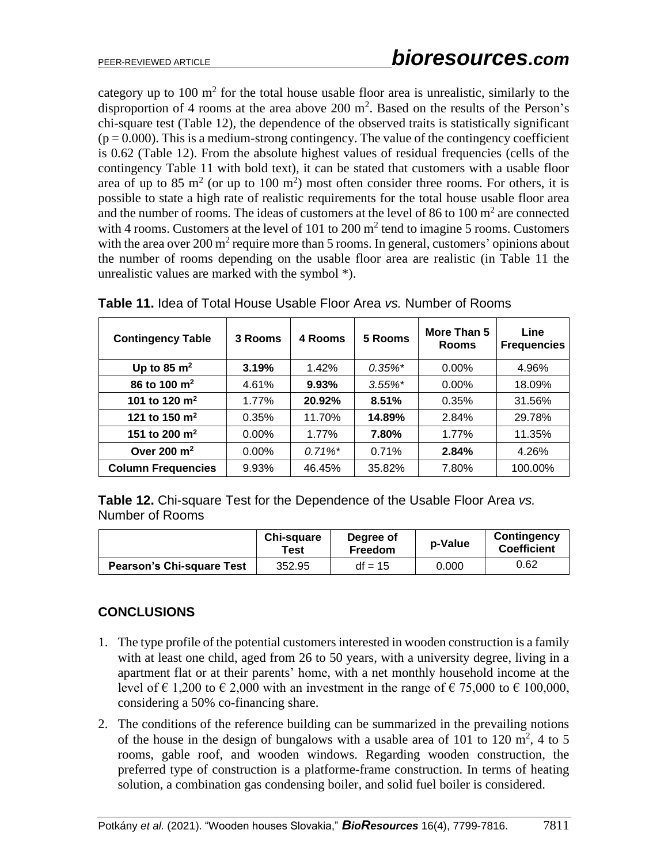category up to  $100 \text{ m}^2$  for the total house usable floor area is unrealistic, similarly to the disproportion of 4 rooms at the area above 200  $m^2$ . Based on the results of the Person's chi-square test (Table 12), the dependence of the observed traits is statistically significant  $(p = 0.000)$ . This is a medium-strong contingency. The value of the contingency coefficient is 0.62 (Table 12). From the absolute highest values of residual frequencies (cells of the contingency Table 11 with bold text), it can be stated that customers with a usable floor area of up to 85 m<sup>2</sup> (or up to 100 m<sup>2</sup>) most often consider three rooms. For others, it is possible to state a high rate of realistic requirements for the total house usable floor area and the number of rooms. The ideas of customers at the level of 86 to 100  $m<sup>2</sup>$  are connected with 4 rooms. Customers at the level of 101 to 200  $m<sup>2</sup>$  tend to imagine 5 rooms. Customers with the area over 200  $m^2$  require more than 5 rooms. In general, customers' opinions about the number of rooms depending on the usable floor area are realistic (in Table 11 the unrealistic values are marked with the symbol \*).

| <b>Contingency Table</b>  | 3 Rooms  | 4 Rooms               | 5 Rooms    | More Than 5<br><b>Rooms</b> | Line<br><b>Frequencies</b> |
|---------------------------|----------|-----------------------|------------|-----------------------------|----------------------------|
| Up to 85 $m2$             | 3.19%    | 1.42%                 | $0.35\%$ * | $0.00\%$                    | 4.96%                      |
| 86 to 100 $m^2$           | 4.61%    | 9.93%                 | $3.55\%$ * | $0.00\%$                    | 18.09%                     |
| 101 to 120 $m2$           | 1.77%    | 20.92%                | 8.51%      | 0.35%                       | 31.56%                     |
| 121 to 150 $m2$           | 0.35%    | 11.70%                | 14.89%     | 2.84%                       | 29.78%                     |
| 151 to 200 $m2$           | $0.00\%$ | 1.77%                 | 7.80%      | $1.77\%$                    | 11.35%                     |
| Over 200 $m2$             | $0.00\%$ | $0.71\%$ <sup>*</sup> | 0.71%      | 2.84%                       | 4.26%                      |
| <b>Column Frequencies</b> | 9.93%    | 46.45%                | 35.82%     | 7.80%                       | 100.00%                    |

**Table 11.** Idea of Total House Usable Floor Area *vs.* Number of Rooms

**Table 12.** Chi-square Test for the Dependence of the Usable Floor Area *vs.* Number of Rooms

|                                  | <b>Chi-square</b><br>Test | Degree of<br>Freedom | p-Value | Contingency<br><b>Coefficient</b> |
|----------------------------------|---------------------------|----------------------|---------|-----------------------------------|
| <b>Pearson's Chi-square Test</b> | 352.95                    | $df = 15$            | 0.000   | 0.62                              |

# **CONCLUSIONS**

- 1. The type profile of the potential customers interested in wooden construction is a family with at least one child, aged from 26 to 50 years, with a university degree, living in a apartment flat or at their parents' home, with a net monthly household income at the level of  $\epsilon$  1,200 to  $\epsilon$  2,000 with an investment in the range of  $\epsilon$  75,000 to  $\epsilon$  100,000, considering a 50% co-financing share.
- 2. The conditions of the reference building can be summarized in the prevailing notions of the house in the design of bungalows with a usable area of 101 to 120  $m^2$ , 4 to 5 rooms, gable roof, and wooden windows. Regarding wooden construction, the preferred type of construction is a platforme-frame construction. In terms of heating solution, a combination gas condensing boiler, and solid fuel boiler is considered.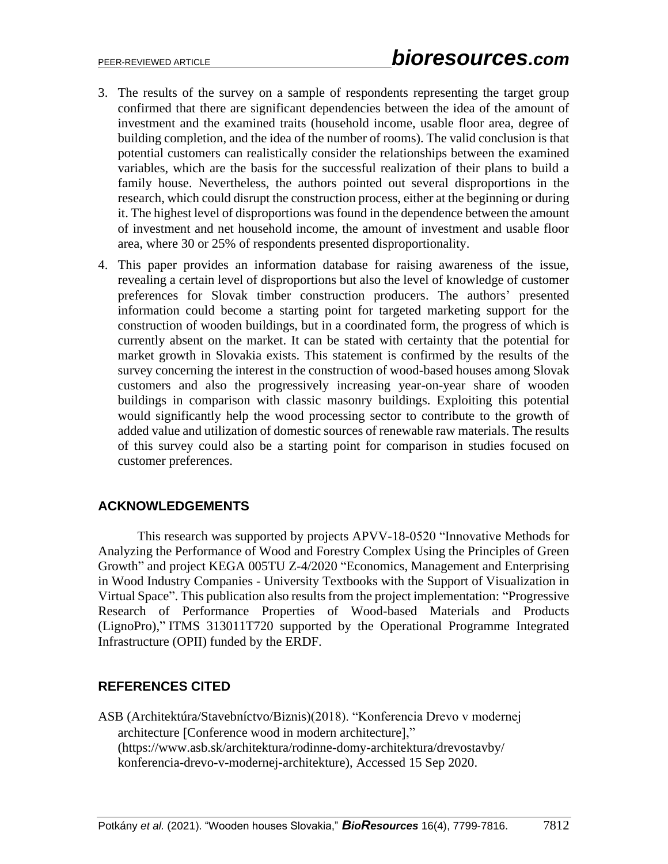- 3. The results of the survey on a sample of respondents representing the target group confirmed that there are significant dependencies between the idea of the amount of investment and the examined traits (household income, usable floor area, degree of building completion, and the idea of the number of rooms). The valid conclusion is that potential customers can realistically consider the relationships between the examined variables, which are the basis for the successful realization of their plans to build a family house. Nevertheless, the authors pointed out several disproportions in the research, which could disrupt the construction process, either at the beginning or during it. The highest level of disproportions was found in the dependence between the amount of investment and net household income, the amount of investment and usable floor area, where 30 or 25% of respondents presented disproportionality.
- 4. This paper provides an information database for raising awareness of the issue, revealing a certain level of disproportions but also the level of knowledge of customer preferences for Slovak timber construction producers. The authors' presented information could become a starting point for targeted marketing support for the construction of wooden buildings, but in a coordinated form, the progress of which is currently absent on the market. It can be stated with certainty that the potential for market growth in Slovakia exists. This statement is confirmed by the results of the survey concerning the interest in the construction of wood-based houses among Slovak customers and also the progressively increasing year-on-year share of wooden buildings in comparison with classic masonry buildings. Exploiting this potential would significantly help the wood processing sector to contribute to the growth of added value and utilization of domestic sources of renewable raw materials. The results of this survey could also be a starting point for comparison in studies focused on customer preferences.

# **ACKNOWLEDGEMENTS**

This research was supported by projects APVV-18-0520 "Innovative Methods for Analyzing the Performance of Wood and Forestry Complex Using the Principles of Green Growth" and project KEGA 005TU Z-4/2020 "Economics, Management and Enterprising in Wood Industry Companies - University Textbooks with the Support of Visualization in Virtual Space". This publication also resultsfrom the project implementation: "Progressive Research of Performance Properties of Wood-based Materials and Products (LignoPro)," ITMS 313011T720 supported by the Operational Programme Integrated Infrastructure (OPII) funded by the ERDF.

# **REFERENCES CITED**

ASB (Architektúra/Stavebníctvo/Biznis)(2018). "Konferencia Drevo v modernej architecture [Conference wood in modern architecture]," (https://www.asb.sk/architektura/rodinne-domy-architektura/drevostavby/ konferencia-drevo-v-modernej-architekture), Accessed 15 Sep 2020.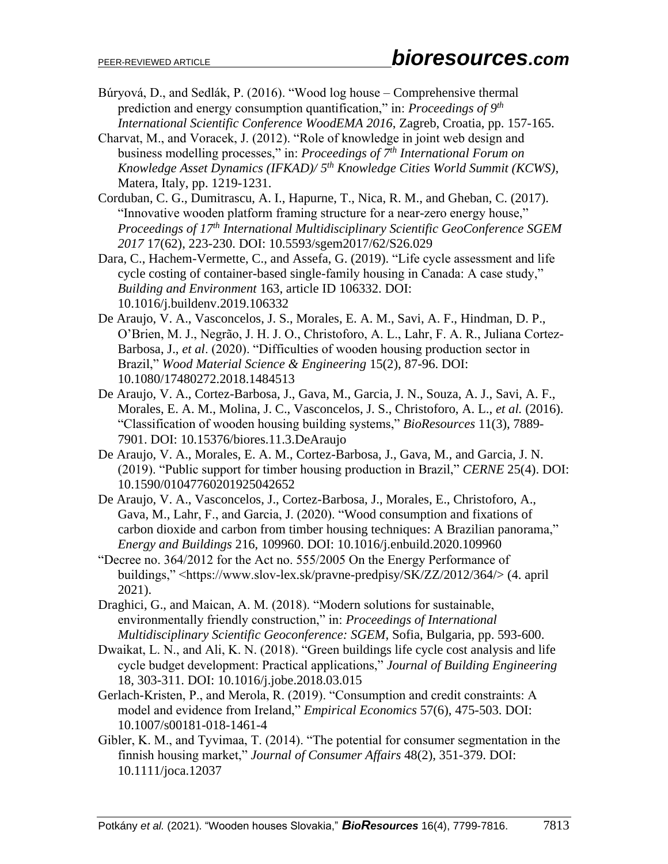- Búryová, D., and Sedlák, P. (2016). "Wood log house Comprehensive thermal prediction and energy consumption quantification," in: *Proceedings of 9 th International Scientific Conference WoodEMA 2016*, Zagreb, Croatia, pp. 157-165.
- Charvat, M., and Voracek, J. (2012). "Role of knowledge in joint web design and business modelling processes," in: *Proceedings of 7th International Forum on Knowledge Asset Dynamics (IFKAD)/ 5th Knowledge Cities World Summit (KCWS)*, Matera, Italy, pp. 1219-1231.
- Corduban, C. G., Dumitrascu, A. I., Hapurne, T., Nica, R. M., and Gheban, C. (2017). "Innovative wooden platform framing structure for a near-zero energy house," *Proceedings of 17th International Multidisciplinary Scientific GeoConference SGEM 2017* 17(62), 223-230. DOI: 10.5593/sgem2017/62/S26.029
- Dara, C., Hachem-Vermette, C., and Assefa, G. (2019). "Life cycle assessment and life cycle costing of container-based single-family housing in Canada: A case study," *Building and Environment* 163, article ID 106332. DOI: 10.1016/j.buildenv.2019.106332
- De Araujo, V. A., Vasconcelos, J. S., Morales, E. A. M., Savi, A. F., Hindman, D. P., O'Brien, M. J., Negrão, J. H. J. O., Christoforo, A. L., Lahr, F. A. R., Juliana Cortez-Barbosa, J., *et al*. (2020). "Difficulties of wooden housing production sector in Brazil," *Wood Material Science & Engineering* 15(2), 87-96. DOI: 10.1080/17480272.2018.1484513
- De Araujo, V. A., Cortez-Barbosa, J., Gava, M., Garcia, J. N., Souza, A. J., Savi, A. F., Morales, E. A. M., Molina, J. C., Vasconcelos, J. S., Christoforo, A. L., *et al.* (2016). "Classification of wooden housing building systems," *BioResources* 11(3), 7889- 7901. DOI: 10.15376/biores.11.3.DeAraujo
- De Araujo, V. A., Morales, E. A. M., Cortez-Barbosa, J., Gava, M., and Garcia, J. N. (2019). "Public support for timber housing production in Brazil," *CERNE* 25(4). DOI: 10.1590/01047760201925042652
- De Araujo, V. A., Vasconcelos, J., Cortez-Barbosa, J., Morales, E., Christoforo, A., Gava, M., Lahr, F., and Garcia, J. (2020). "Wood consumption and fixations of carbon dioxide and carbon from timber housing techniques: A Brazilian panorama," *Energy and Buildings* 216, 109960. DOI: 10.1016/j.enbuild.2020.109960
- "Decree no. 364/2012 for the Act no. 555/2005 On the Energy Performance of buildings," <https://www.slov-lex.sk/pravne-predpisy/SK/ZZ/2012/364/> (4. april 2021).
- Draghici, G., and Maican, A. M. (2018). "Modern solutions for sustainable, environmentally friendly construction," in: *Proceedings of International Multidisciplinary Scientific Geoconference: SGEM*, Sofia, Bulgaria, pp. 593-600.
- Dwaikat, L. N., and Ali, K. N. (2018). "Green buildings life cycle cost analysis and life cycle budget development: Practical applications," *Journal of Building Engineering* 18, 303-311. DOI: 10.1016/j.jobe.2018.03.015
- Gerlach-Kristen, P., and Merola, R. (2019). "Consumption and credit constraints: A model and evidence from Ireland," *Empirical Economics* 57(6), 475-503. DOI: 10.1007/s00181-018-1461-4
- Gibler, K. M., and Tyvimaa, T. (2014). "The potential for consumer segmentation in the finnish housing market," *Journal of Consumer Affairs* 48(2), 351-379. DOI: 10.1111/joca.12037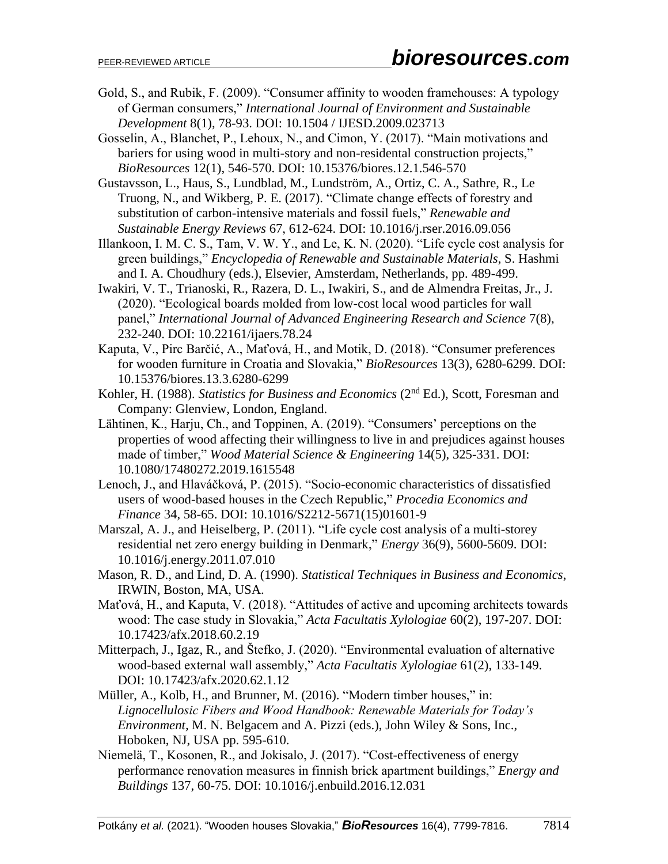- Gold, S., and Rubik, F. (2009). "Consumer affinity to wooden framehouses: A typology of German consumers," *International Journal of Environment and Sustainable Development* 8(1), 78-93. DOI: 10.1504 / IJESD.2009.023713
- Gosselin, A., Blanchet, P., Lehoux, N., and Cimon, Y. (2017). "Main motivations and bariers for using wood in multi-story and non-residental construction projects," *BioResources* 12(1), 546-570. DOI: 10.15376/biores.12.1.546-570
- Gustavsson, L., Haus, S., Lundblad, M., Lundström, A., Ortiz, C. A., Sathre, R., Le Truong, N., and Wikberg, P. E. (2017). "Climate change effects of forestry and substitution of carbon-intensive materials and fossil fuels," *Renewable and Sustainable Energy Reviews* 67, 612-624. DOI: 10.1016/j.rser.2016.09.056
- Illankoon, I. M. C. S., Tam, V. W. Y., and Le, K. N. (2020). "Life cycle cost analysis for green buildings," *Encyclopedia of Renewable and Sustainable Materials*, S. Hashmi and I. A. Choudhury (eds.), Elsevier, Amsterdam, Netherlands, pp. 489-499.
- Iwakiri, V. T., Trianoski, R., Razera, D. L., Iwakiri, S., and de Almendra Freitas, Jr., J. (2020). "Ecological boards molded from low-cost local wood particles for wall panel," *International Journal of Advanced Engineering Research and Science* 7(8), 232-240. DOI: 10.22161/ijaers.78.24
- Kaputa, V., Pirc Barčić, A., Maťová, H., and Motik, D. (2018). "Consumer preferences for wooden furniture in Croatia and Slovakia," *BioResources* 13(3), 6280-6299. DOI: 10.15376/biores.13.3.6280-6299
- Kohler, H. (1988). *Statistics for Business and Economics* (2<sup>nd</sup> Ed.), Scott, Foresman and Company: Glenview, London, England.
- Lähtinen, K., Harju, Ch., and Toppinen, A. (2019). "Consumers' perceptions on the properties of wood affecting their willingness to live in and prejudices against houses made of timber," *Wood Material Science & Engineering* 14(5), 325-331. DOI: 10.1080/17480272.2019.1615548
- Lenoch, J., and Hlaváčková, P. (2015). "Socio-economic characteristics of dissatisfied users of wood-based houses in the Czech Republic," *Procedia Economics and Finance* 34, 58-65. DOI: 10.1016/S2212-5671(15)01601-9
- Marszal, A. J., and Heiselberg, P. (2011). "Life cycle cost analysis of a multi-storey residential net zero energy building in Denmark," *Energy* 36(9), 5600-5609. DOI: 10.1016/j.energy.2011.07.010
- Mason, R. D., and Lind, D. A. (1990). *Statistical Techniques in Business and Economics*, IRWIN, Boston, MA, USA.
- Maťová, H., and Kaputa, V. (2018). "Attitudes of active and upcoming architects towards wood: The case study in Slovakia," *Acta Facultatis Xylologiae* 60(2), 197-207. DOI: 10.17423/afx.2018.60.2.19
- Mitterpach, J., Igaz, R., and Štefko, J. (2020). "Environmental evaluation of alternative wood-based external wall assembly," *Acta Facultatis Xylologiae* 61(2), 133-149. DOI: 10.17423/afx.2020.62.1.12
- Müller, A., Kolb, H., and Brunner, M. (2016). "Modern timber houses," in: *Lignocellulosic Fibers and Wood Handbook: Renewable Materials for Today's Environment,* M. N. Belgacem and A. Pizzi (eds.), John Wiley & Sons, Inc., Hoboken, NJ, USA pp. 595-610.
- Niemelä, T., Kosonen, R., and Jokisalo, J. (2017). "Cost-effectiveness of energy performance renovation measures in finnish brick apartment buildings," *Energy and Buildings* 137, 60-75. DOI: 10.1016/j.enbuild.2016.12.031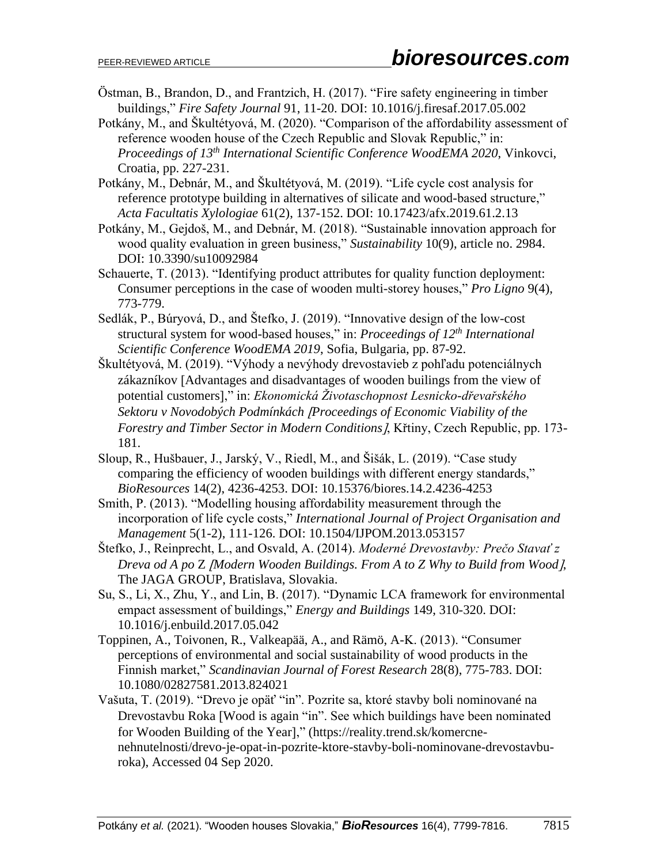- Östman, B., Brandon, D., and Frantzich, H. (2017). "Fire safety engineering in timber buildings," *Fire Safety Journal* 91, 11-20. DOI: 10.1016/j.firesaf.2017.05.002
- Potkány, M., and Škultétyová, M. (2020). "Comparison of the affordability assessment of reference wooden house of the Czech Republic and Slovak Republic," in: *Proceedings of 13th International Scientific Conference WoodEMA 2020*, Vinkovci, Croatia, pp. 227-231.
- Potkány, M., Debnár, M., and Škultétyová, M. (2019). "Life cycle cost analysis for reference prototype building in alternatives of silicate and wood-based structure," *Acta Facultatis Xylologiae* 61(2), 137-152. DOI: 10.17423/afx.2019.61.2.13
- Potkány, M., Gejdoš, M., and Debnár, M. (2018). "Sustainable innovation approach for wood quality evaluation in green business," *Sustainability* 10(9), article no. 2984. DOI: 10.3390/su10092984
- Schauerte, T. (2013). "Identifying product attributes for quality function deployment: Consumer perceptions in the case of wooden multi-storey houses," *Pro Ligno* 9(4), 773-779.
- Sedlák, P., Búryová, D., and Štefko, J. (2019). "Innovative design of the low-cost structural system for wood-based houses," in: *Proceedings of 12th International Scientific Conference WoodEMA 2019*, Sofia, Bulgaria, pp. 87-92.
- Škultétyová, M. (2019). "Výhody a nevýhody drevostavieb z pohľadu potenciálnych zákazníkov [Advantages and disadvantages of wooden builings from the view of potential customers," in: *Ekonomická Životaschopnost Lesnicko-dřevařského Sektoru v Novodobých Podmínkách Proceedings of Economic Viability of the Forestry and Timber Sector in Modern Conditions*, Křtiny, Czech Republic, pp. 173- 181.
- Sloup, R., Hušbauer, J., Jarský, V., Riedl, M., and Šišák, L. (2019). "Case study comparing the efficiency of wooden buildings with different energy standards," *BioResources* 14(2), 4236-4253. DOI: 10.15376/biores.14.2.4236-4253
- Smith, P. (2013). "Modelling housing affordability measurement through the incorporation of life cycle costs," *International Journal of Project Organisation and Management* 5(1-2), 111-126. DOI: 10.1504/IJPOM.2013.053157
- Štefko, J., Reinprecht, L., and Osvald, A. (2014). *Moderné Drevostavby: Prečo Stavať z Dreva od A po* Z *Modern Wooden Buildings. From A to Z Why to Build from Wood*, The JAGA GROUP, Bratislava, Slovakia.
- Su, S., Li, X., Zhu, Y., and Lin, B. (2017). "Dynamic LCA framework for environmental empact assessment of buildings," *Energy and Buildings* 149, 310-320. DOI: 10.1016/j.enbuild.2017.05.042
- Toppinen, A., Toivonen, R., Valkeapää, A., and Rämö, A-K. (2013). "Consumer perceptions of environmental and social sustainability of wood products in the Finnish market," *Scandinavian Journal of Forest Research* 28(8), 775-783. DOI: 10.1080/02827581.2013.824021
- Vašuta, T. (2019). "Drevo je opäť "in". Pozrite sa, ktoré stavby boli nominované na Drevostavbu Roka [Wood is again "in". See which buildings have been nominated for Wooden Building of the Year]," (https://reality.trend.sk/komercnenehnutelnosti/drevo-je-opat-in-pozrite-ktore-stavby-boli-nominovane-drevostavburoka), Accessed 04 Sep 2020.